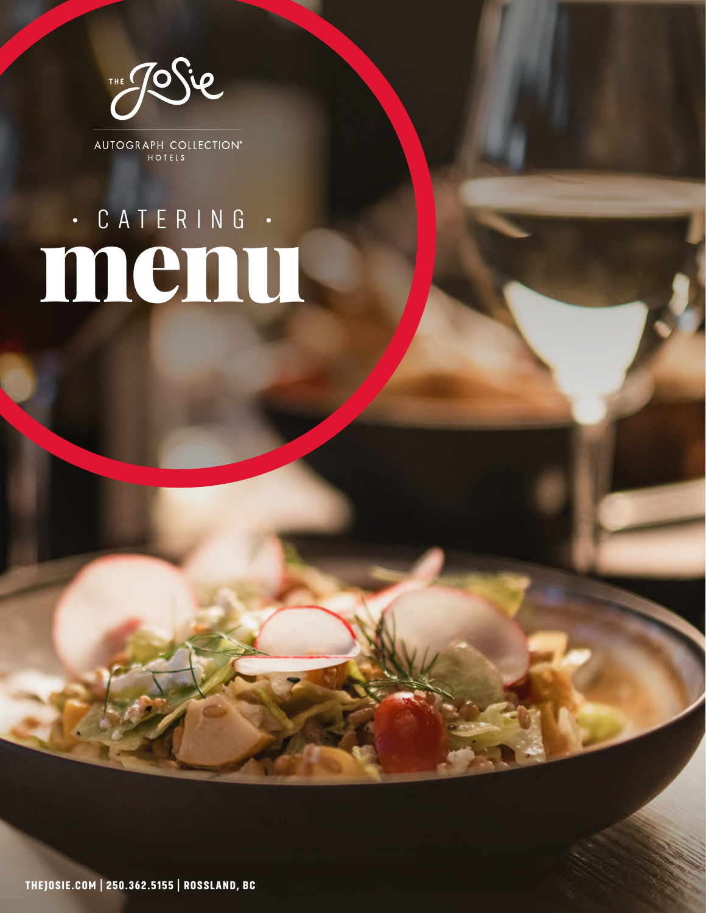

AUTOGRAPH COLLECTION®<br>HOTELS

## **·** C A T E R I N G **·** menu

THEJOSIE.COM | 250.362.5155 | ROSSLAND, BC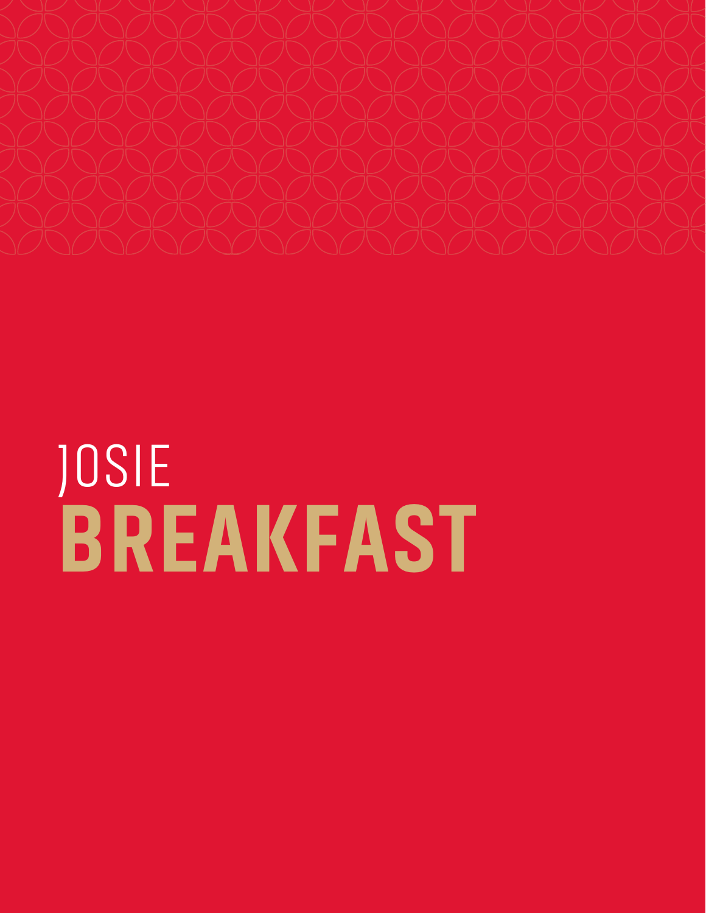

## JOSIE **BREAKFAST**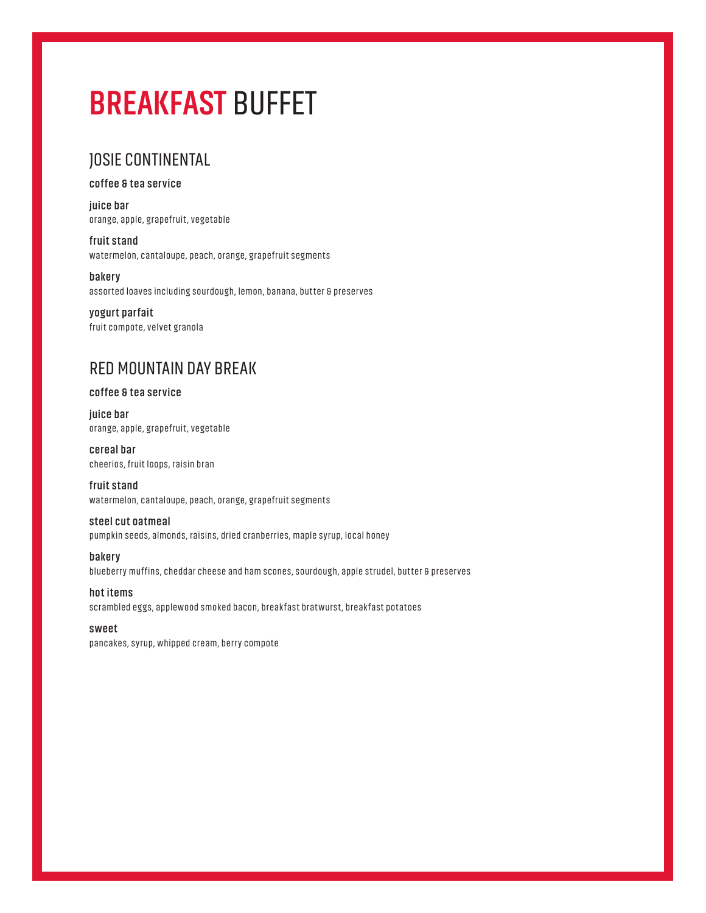## **BREAKFAST** BUFFET

#### JOSIE CONTINENTAL

#### **coffee & tea service**

**juice bar** orange, apple, grapefruit, vegetable

**fruit stand** watermelon, cantaloupe, peach, orange, grapefruit segments

**bakery** assorted loaves including sourdough, lemon, banana, butter & preserves

**yogurt parfait** fruit compote, velvet granola

#### RED MOUNTAIN DAY BREAK

#### **coffee & tea service**

**juice bar** orange, apple, grapefruit, vegetable

**cereal bar** cheerios, fruit loops, raisin bran

**fruit stand** watermelon, cantaloupe, peach, orange, grapefruit segments

#### **steel cut oatmeal**

pumpkin seeds, almonds, raisins, dried cranberries, maple syrup, local honey

**bakery** blueberry muffins, cheddar cheese and ham scones, sourdough, apple strudel, butter & preserves

**hot items** scrambled eggs, applewood smoked bacon, breakfast bratwurst, breakfast potatoes

**sweet** pancakes, syrup, whipped cream, berry compote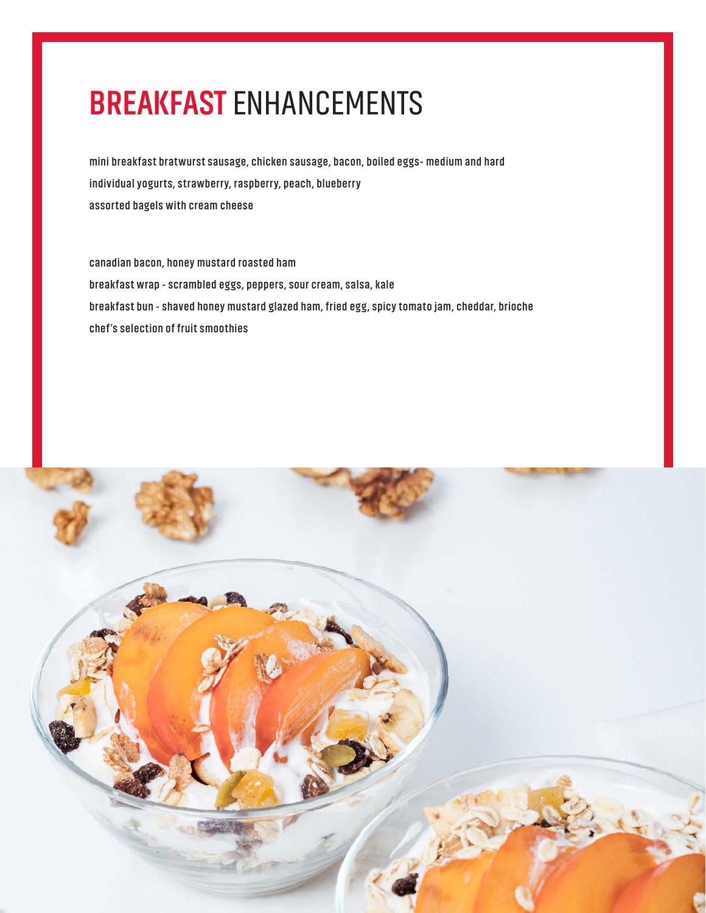### **BREAKFAST** ENHANCEMENTS

**mini breakfast bratwurst sausage, chicken sausage, bacon, boiled eggs- medium and hard individual yogurts, strawberry, raspberry, peach, blueberry assorted bagels with cream cheese**

**canadian bacon, honey mustard roasted ham breakfast wrap - scrambled eggs, peppers, sour cream, salsa, kale breakfast bun - shaved honey mustard glazed ham, fried egg, spicy tomato jam, cheddar, brioche chef's selection of fruit smoothies**

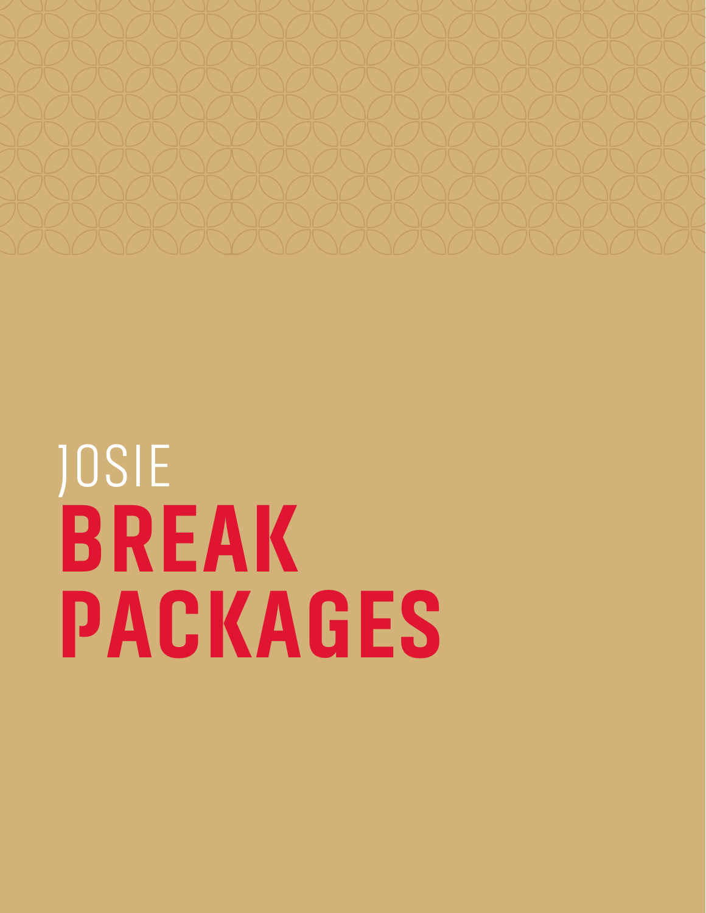

## JOSIE **BREAK PACKAGES**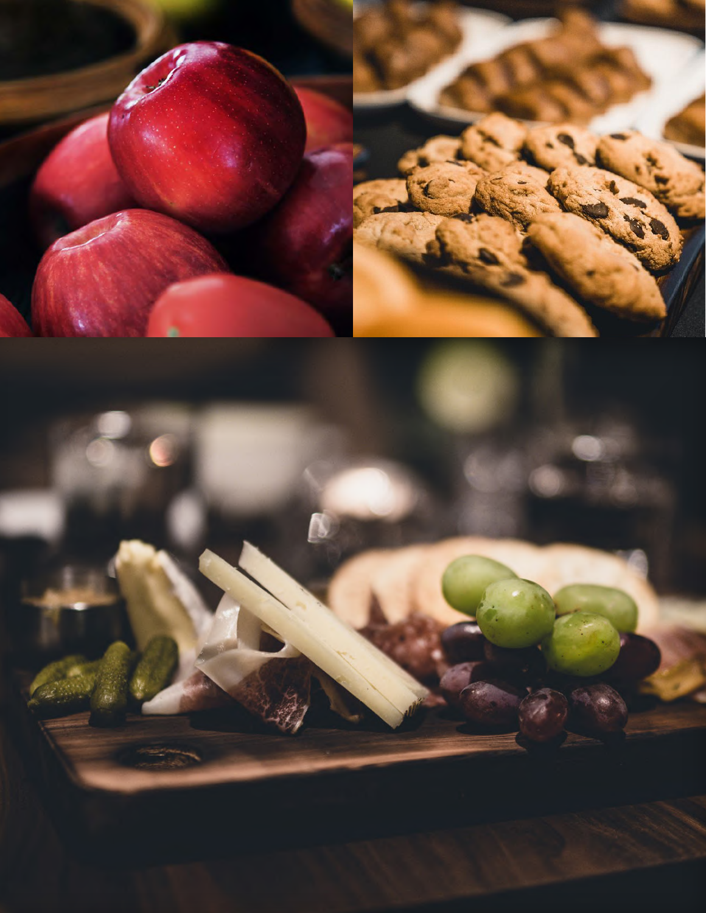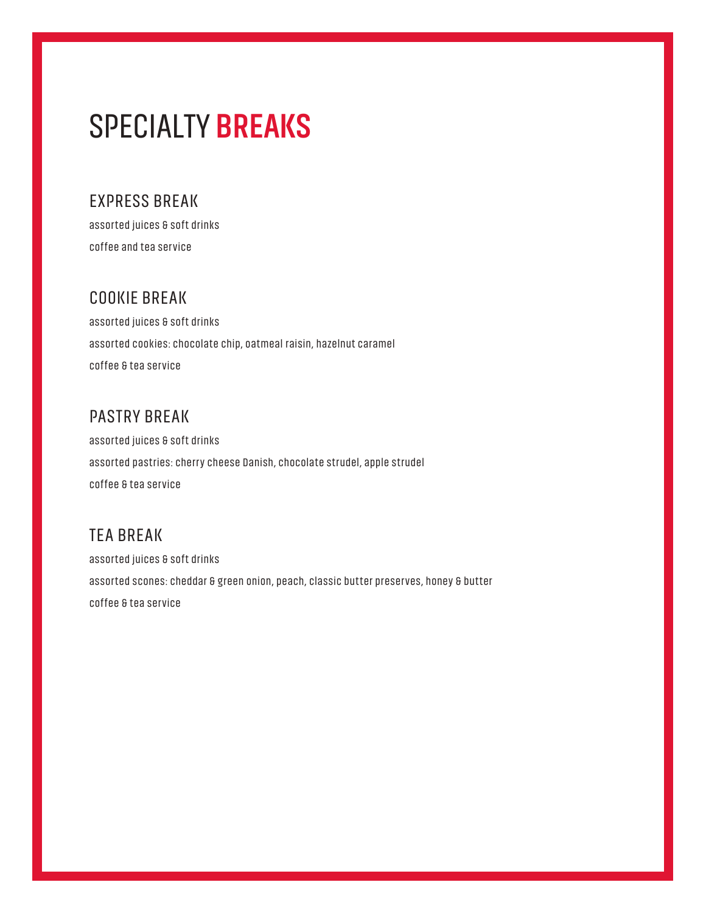### SPECIALTY **BREAKS**

#### EXPRESS BREAK

assorted juices & soft drinks coffee and tea service

#### COOKIE BREAK

assorted juices & soft drinks assorted cookies: chocolate chip, oatmeal raisin, hazelnut caramel coffee & tea service

#### PASTRY BREAK

assorted juices & soft drinks assorted pastries: cherry cheese Danish, chocolate strudel, apple strudel coffee & tea service

#### TEA BREAK

assorted juices & soft drinks assorted scones: cheddar & green onion, peach, classic butter preserves, honey & butter coffee & tea service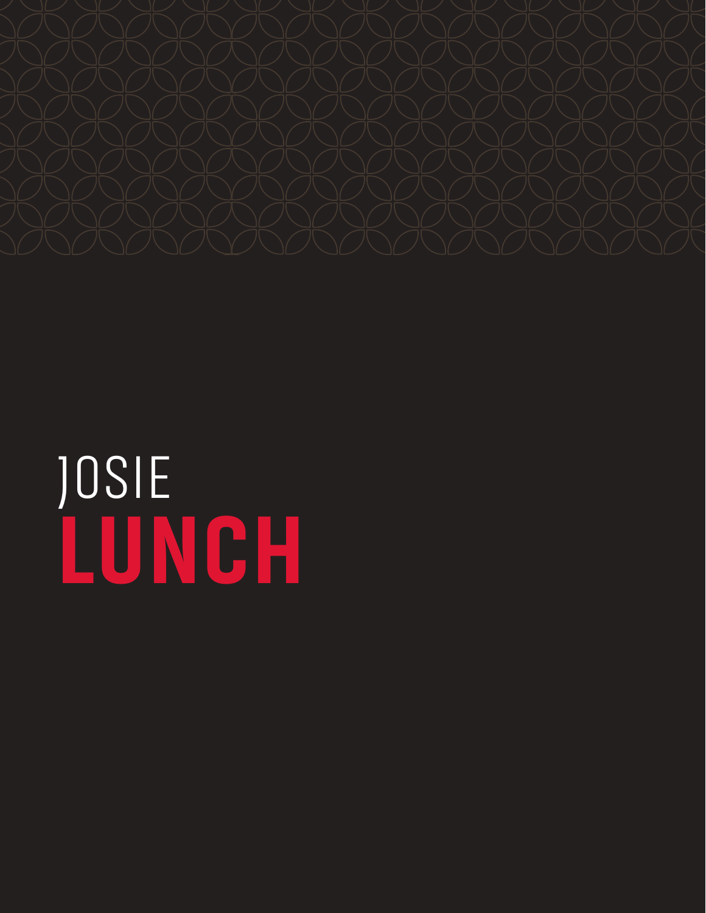

## JOSIE **LUNCH**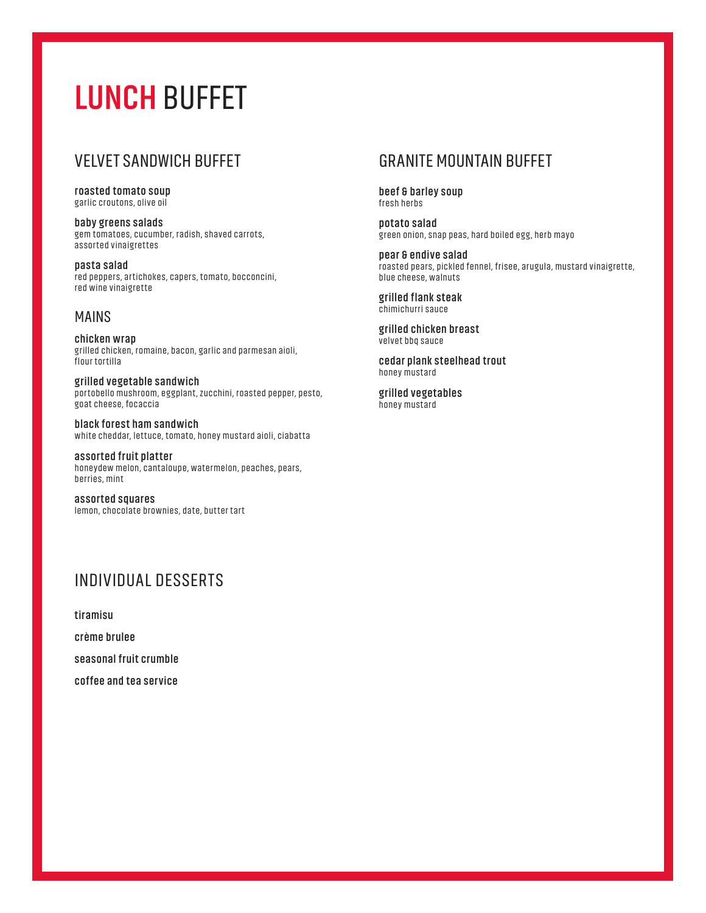## **LUNCH** BUFFET

#### VELVET SANDWICH BUFFET

**roasted tomato soup** garlic croutons, olive oil

**baby greens salads** gem tomatoes, cucumber, radish, shaved carrots, assorted vinaigrettes

**pasta salad** red peppers, artichokes, capers, tomato, bocconcini, red wine vinaigrette

#### MAINS

**chicken wrap** grilled chicken, romaine, bacon, garlic and parmesan aioli, flour tortilla

**grilled vegetable sandwich** portobello mushroom, eggplant, zucchini, roasted pepper, pesto, goat cheese, focaccia

**black forest ham sandwich** white cheddar, lettuce, tomato, honey mustard aioli, ciabatta

**assorted fruit platter** honeydew melon, cantaloupe, watermelon, peaches, pears, berries, mint

**assorted squares** lemon, chocolate brownies, date, butter tart

#### GRANITE MOUNTAIN BUFFET

**beef & barley soup** fresh herbs

**potato salad** green onion, snap peas, hard boiled egg, herb mayo

**pear & endive salad** roasted pears, pickled fennel, frisee, arugula, mustard vinaigrette, blue cheese, walnuts

**grilled flank steak** chimichurri sauce

**grilled chicken breast** velvet bbq sauce

**cedar plank steelhead trout** honey mustard

**grilled vegetables** honey mustard

#### INDIVIDUAL DESSERTS

**tiramisu**

**crème brulee**

**seasonal fruit crumble**

**coffee and tea service**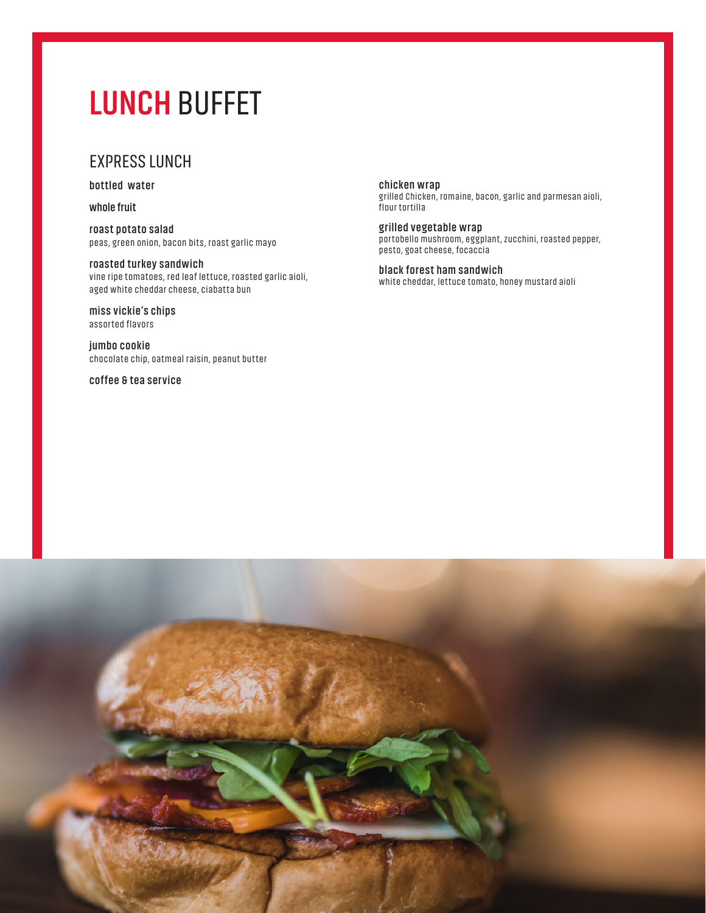### **LUNCH** BUFFET

#### EXPRESS LUNCH

**bottled water**

**whole fruit**

**roast potato salad** peas, green onion, bacon bits, roast garlic mayo

**roasted turkey sandwich** vine ripe tomatoes, red leaf lettuce, roasted garlic aioli, aged white cheddar cheese, ciabatta bun

**miss vickie's chips** assorted flavors

**jumbo cookie** chocolate chip, oatmeal raisin, peanut butter

**coffee & tea service**

**chicken wrap** grilled Chicken, romaine, bacon, garlic and parmesan aioli, flour tortilla

**grilled vegetable wrap** portobello mushroom, eggplant, zucchini, roasted pepper, pesto, goat cheese, focaccia

**black forest ham sandwich** white cheddar, lettuce tomato, honey mustard aioli

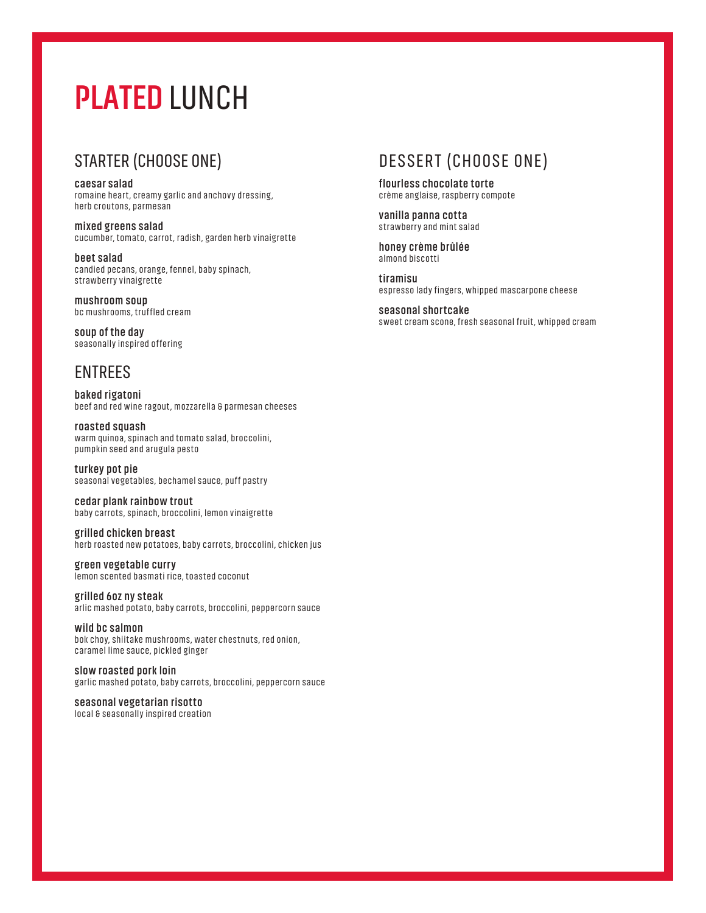## **PLATED** LUNCH

#### STARTER (CHOOSE ONE)

**caesar salad** romaine heart, creamy garlic and anchovy dressing, herb croutons, parmesan

**mixed greens salad** cucumber, tomato, carrot, radish, garden herb vinaigrette

**beet salad** candied pecans, orange, fennel, baby spinach, strawberry vinaigrette

**mushroom soup** bc mushrooms, truffled cream

**soup of the day** seasonally inspired offering

#### ENTREES

**baked rigatoni** beef and red wine ragout, mozzarella & parmesan cheeses

**roasted squash** warm quinoa, spinach and tomato salad, broccolini, pumpkin seed and arugula pesto

**turkey pot pie** seasonal vegetables, bechamel sauce, puff pastry

**cedar plank rainbow trout** baby carrots, spinach, broccolini, lemon vinaigrette

**grilled chicken breast** herb roasted new potatoes, baby carrots, broccolini, chicken jus

**green vegetable curry** lemon scented basmati rice, toasted coconut

**grilled 6oz ny steak** arlic mashed potato, baby carrots, broccolini, peppercorn sauce

**wild bc salmon** bok choy, shiitake mushrooms, water chestnuts, red onion, caramel lime sauce, pickled ginger

**slow roasted pork loin** garlic mashed potato, baby carrots, broccolini, peppercorn sauce

**seasonal vegetarian risotto** local & seasonally inspired creation

#### DESSERT (CHOOSE ONE)

**flourless chocolate torte** crème anglaise, raspberry compote

**vanilla panna cotta** strawberry and mint salad

**honey crème brûlée** almond biscotti

**tiramisu** espresso lady fingers, whipped mascarpone cheese

**seasonal shortcake** sweet cream scone, fresh seasonal fruit, whipped cream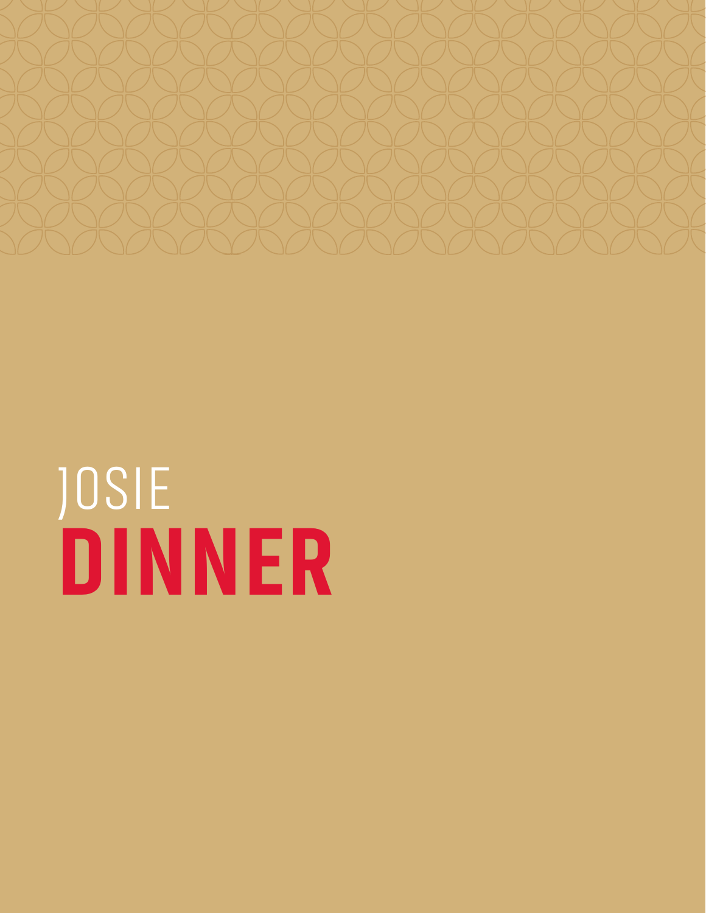

## JOSIE **DINNER**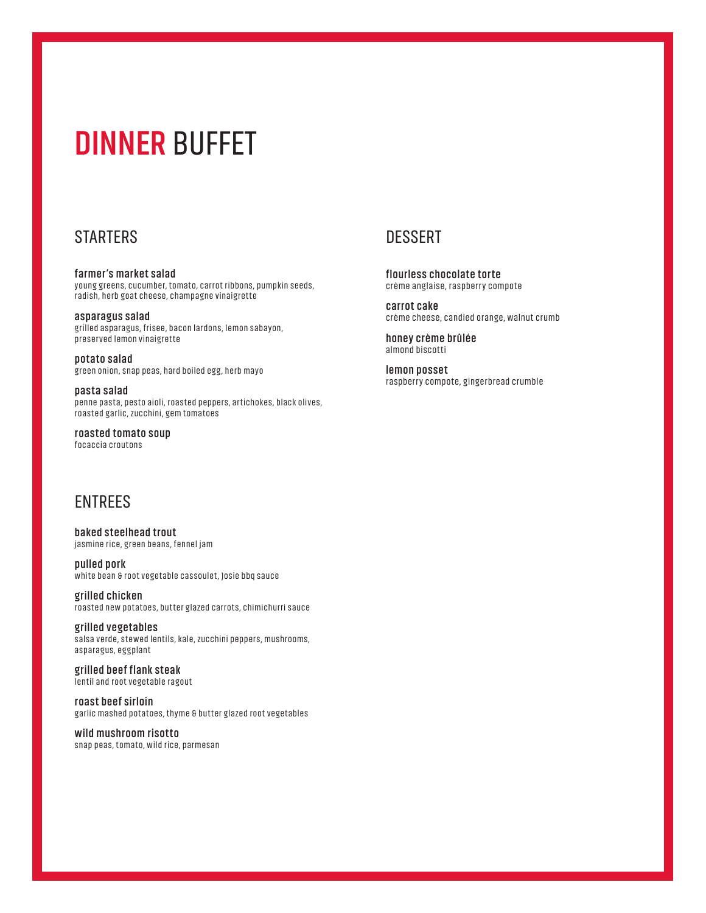### **DINNER** BUFFET

#### **STARTERS**

**farmer's market salad** young greens, cucumber, tomato, carrot ribbons, pumpkin seeds, radish, herb goat cheese, champagne vinaigrette

**asparagus salad** grilled asparagus, frisee, bacon lardons, lemon sabayon, preserved lemon vinaigrette

**potato salad** green onion, snap peas, hard boiled egg, herb mayo

**pasta salad** penne pasta, pesto aioli, roasted peppers, artichokes, black olives, roasted garlic, zucchini, gem tomatoes

**roasted tomato soup** focaccia croutons

#### **DESSERT**

**flourless chocolate torte** crème anglaise, raspberry compote

**carrot cake** crème cheese, candied orange, walnut crumb

**honey crème brûlée** almond biscotti

**lemon posset** raspberry compote, gingerbread crumble

#### ENTREES

**baked steelhead trout** jasmine rice, green beans, fennel jam

**pulled pork** white bean & root vegetable cassoulet, Josie bbq sauce

**grilled chicken** roasted new potatoes, butter glazed carrots, chimichurri sauce

**grilled vegetables** salsa verde, stewed lentils, kale, zucchini peppers, mushrooms, asparagus, eggplant

**grilled beef flank steak** lentil and root vegetable ragout

**roast beef sirloin** garlic mashed potatoes, thyme & butter glazed root vegetables

**wild mushroom risotto** snap peas, tomato, wild rice, parmesan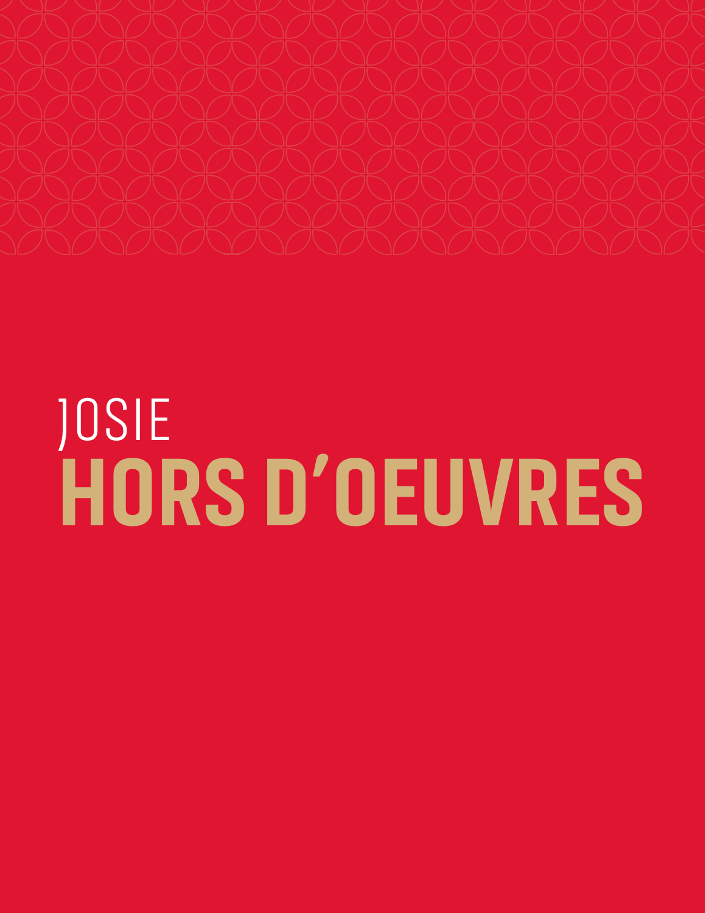

## JOSIE **HORS D'OEUVRES**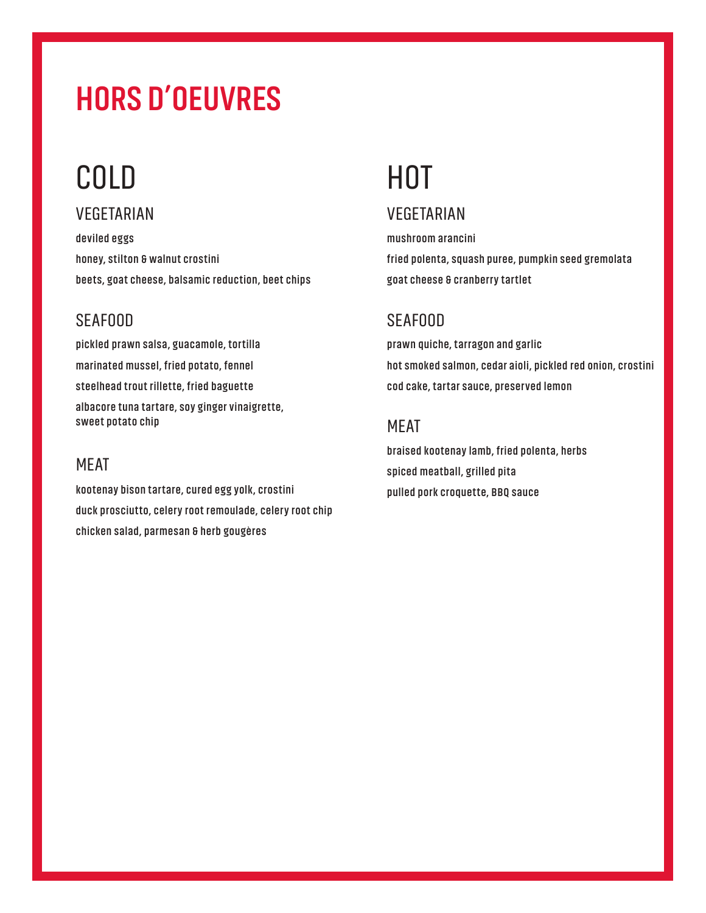## **HORS D'OEUVRES**

### COLD

#### VEGETARIAN

**deviled eggs honey, stilton & walnut crostini beets, goat cheese, balsamic reduction, beet chips**

#### SEAFOOD

**pickled prawn salsa, guacamole, tortilla marinated mussel, fried potato, fennel steelhead trout rillette, fried baguette albacore tuna tartare, soy ginger vinaigrette, sweet potato chip**

#### MEAT

**kootenay bison tartare, cured egg yolk, crostini duck prosciutto, celery root remoulade, celery root chip chicken salad, parmesan & herb gougères**

## HOT

#### VEGETARIAN

**mushroom arancini fried polenta, squash puree, pumpkin seed gremolata goat cheese & cranberry tartlet**

#### SEAFOOD

**prawn quiche, tarragon and garlic hot smoked salmon, cedar aioli, pickled red onion, crostini cod cake, tartar sauce, preserved lemon**

#### MEAT

**braised kootenay lamb, fried polenta, herbs spiced meatball, grilled pita pulled pork croquette, BBQ sauce**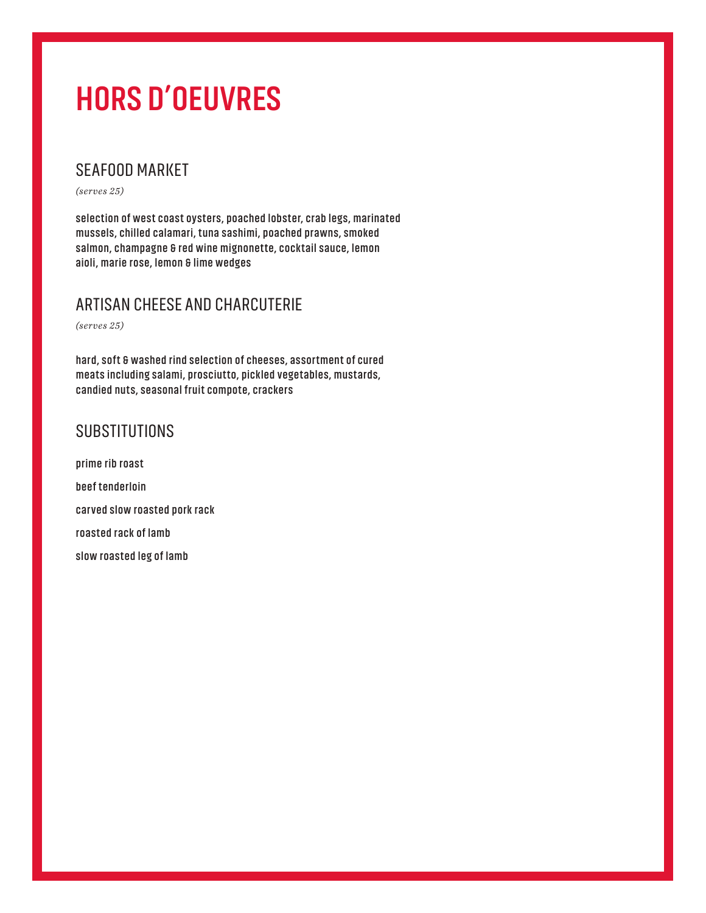## **HORS D'OEUVRES**

#### SEAFOOD MARKET

*(serves 25)*

**selection of west coast oysters, poached lobster, crab legs, marinated mussels, chilled calamari, tuna sashimi, poached prawns, smoked salmon, champagne & red wine mignonette, cocktail sauce, lemon aioli, marie rose, lemon & lime wedges**

#### ARTISAN CHEESE AND CHARCUTERIE

*(serves 25)*

**hard, soft & washed rind selection of cheeses, assortment of cured meats including salami, prosciutto, pickled vegetables, mustards, candied nuts, seasonal fruit compote, crackers**

#### **SUBSTITUTIONS**

**prime rib roast beef tenderloin carved slow roasted pork rack roasted rack of lamb slow roasted leg of lamb**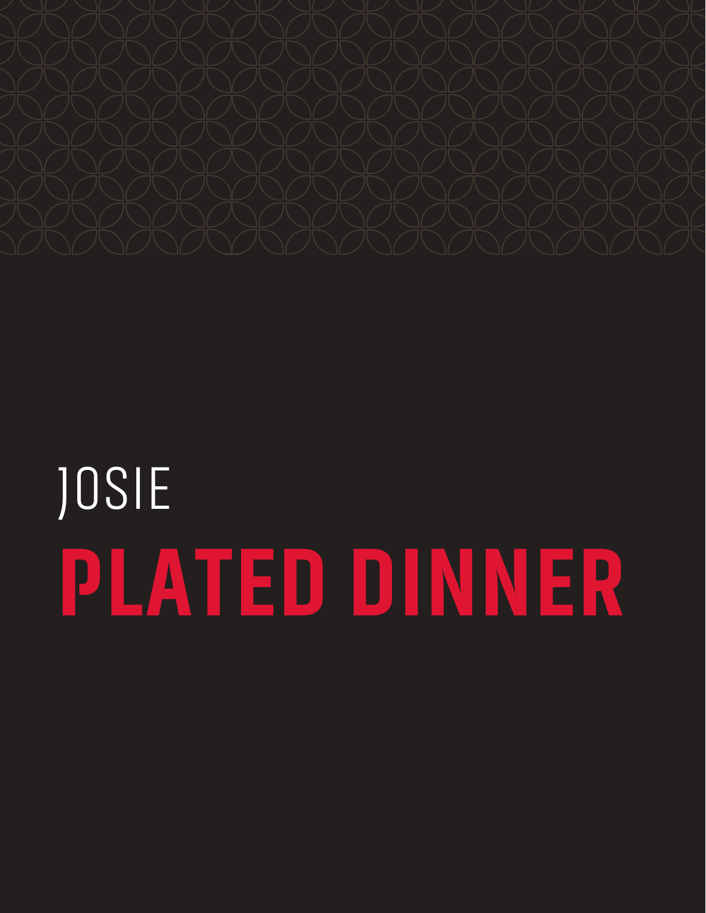# JOSIE **PLATED DINNER**

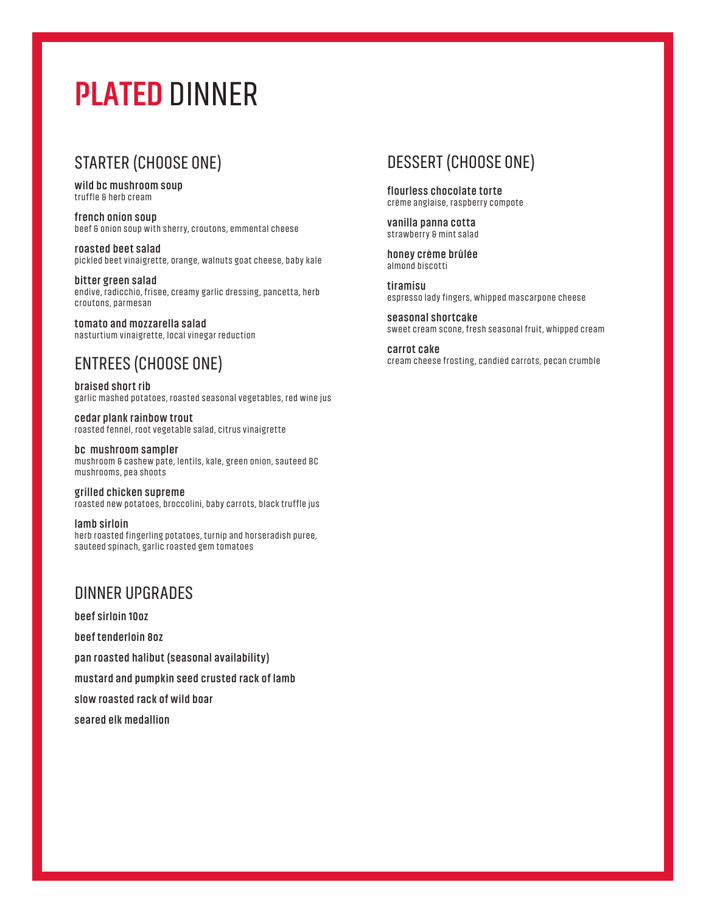## **PLATED** DINNER

#### STARTER (CHOOSE ONE)

**wild bc mushroom soup** truffle & herb cream

**french onion soup** beef & onion soup with sherry, croutons, emmental cheese

**roasted beet salad** pickled beet vinaigrette, orange, walnuts goat cheese, baby kale

**bitter green salad** endive, radicchio, frisee, creamy garlic dressing, pancetta, herb croutons, parmesan

**tomato and mozzarella salad** nasturtium vinaigrette, local vinegar reduction

#### ENTREES (CHOOSE ONE)

**braised short rib** garlic mashed potatoes, roasted seasonal vegetables, red wine jus

**cedar plank rainbow trout** roasted fennel, root vegetable salad, citrus vinaigrette

**bc mushroom sampler** mushroom & cashew pate, lentils, kale, green onion, sauteed BC mushrooms, pea shoots

**grilled chicken supreme** roasted new potatoes, broccolini, baby carrots, black truffle jus

**lamb sirloin** herb roasted fingerling potatoes, turnip and horseradish puree, sauteed spinach, garlic roasted gem tomatoes

#### DINNER UPGRADES

**beef sirloin 10oz**

**beef tenderloin 8oz**

**pan roasted halibut (seasonal availability)**

**mustard and pumpkin seed crusted rack of lamb**

**slow roasted rack of wild boar**

**seared elk medallion**

#### DESSERT (CHOOSE ONE)

**flourless chocolate torte** crème anglaise, raspberry compote

**vanilla panna cotta** strawberry & mint salad

**honey crème brûlée** almond biscotti

**tiramisu** espresso lady fingers, whipped mascarpone cheese

**seasonal shortcake** sweet cream scone, fresh seasonal fruit, whipped cream

**carrot cake** cream cheese frosting, candied carrots, pecan crumble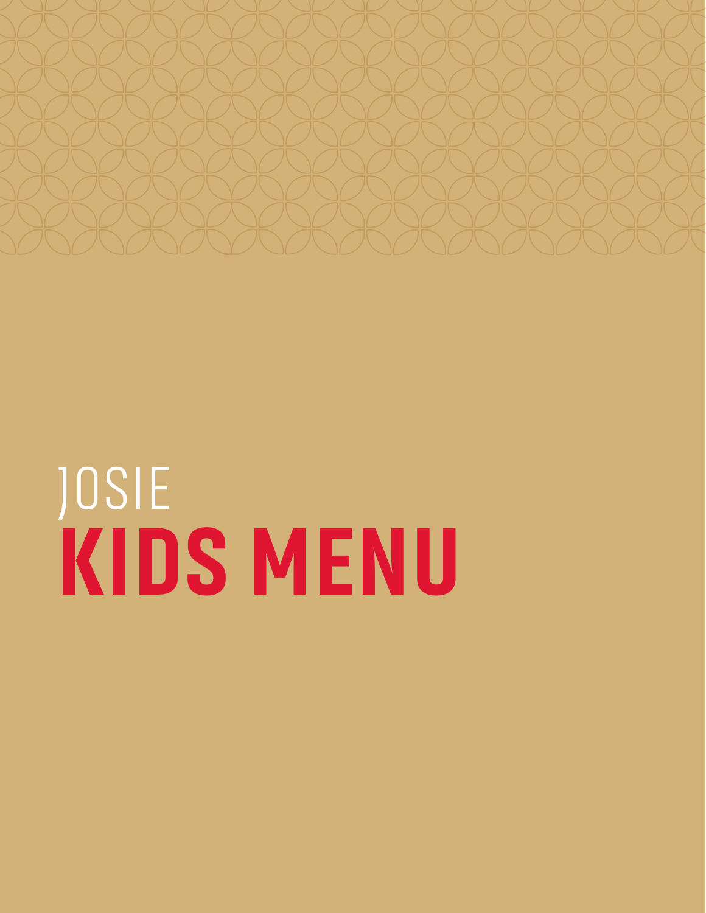

## JOSIE **KIDS MENU**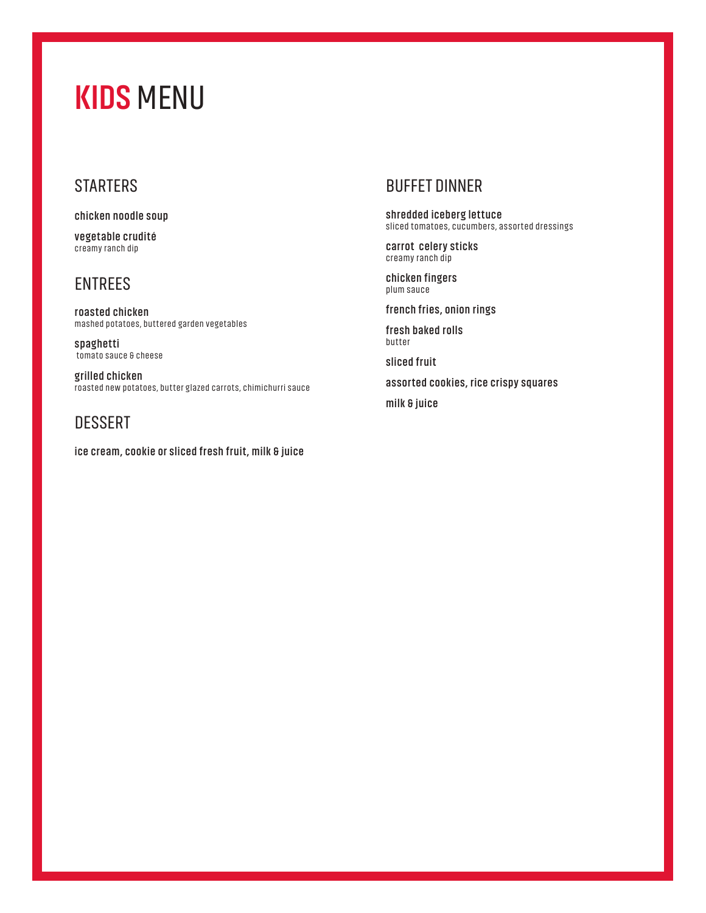## **KIDS** MENU

#### **STARTERS**

**chicken noodle soup**

**vegetable crudité** creamy ranch dip

#### ENTREES

**roasted chicken** mashed potatoes, buttered garden vegetables

**spaghetti** tomato sauce & cheese

**grilled chicken** roasted new potatoes, butter glazed carrots, chimichurri sauce

#### DESSERT

**ice cream, cookie or sliced fresh fruit, milk & juice**

#### BUFFET DINNER

**shredded iceberg lettuce** sliced tomatoes, cucumbers, assorted dressings

**carrot celery sticks** creamy ranch dip

**chicken fingers** plum sauce

**french fries, onion rings**

**fresh baked rolls** butter

**sliced fruit**

**assorted cookies, rice crispy squares milk & juice**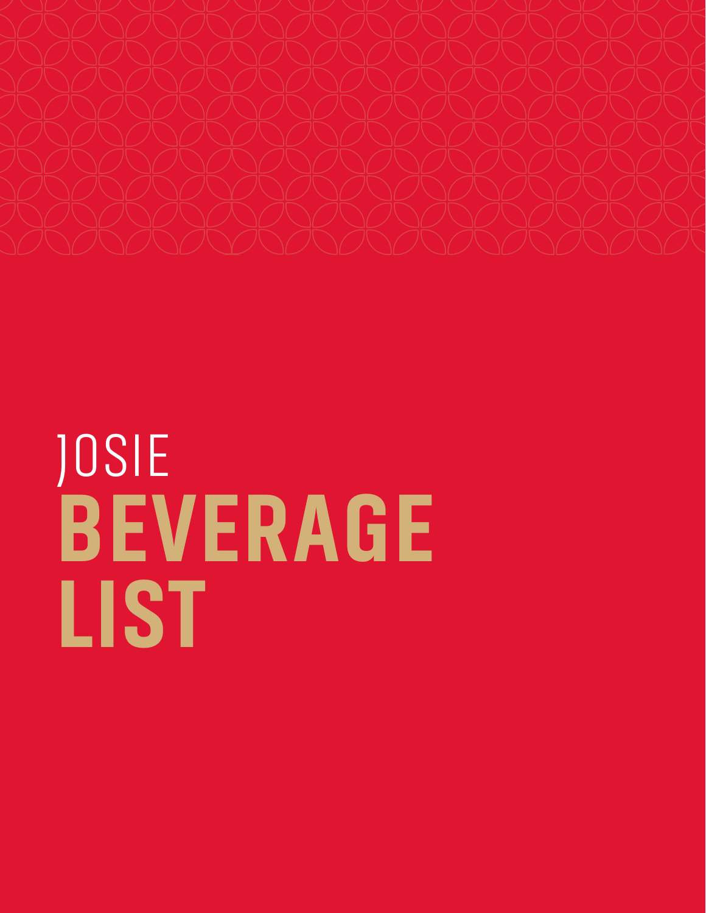

## JOSIE **BEVERAGE LIST**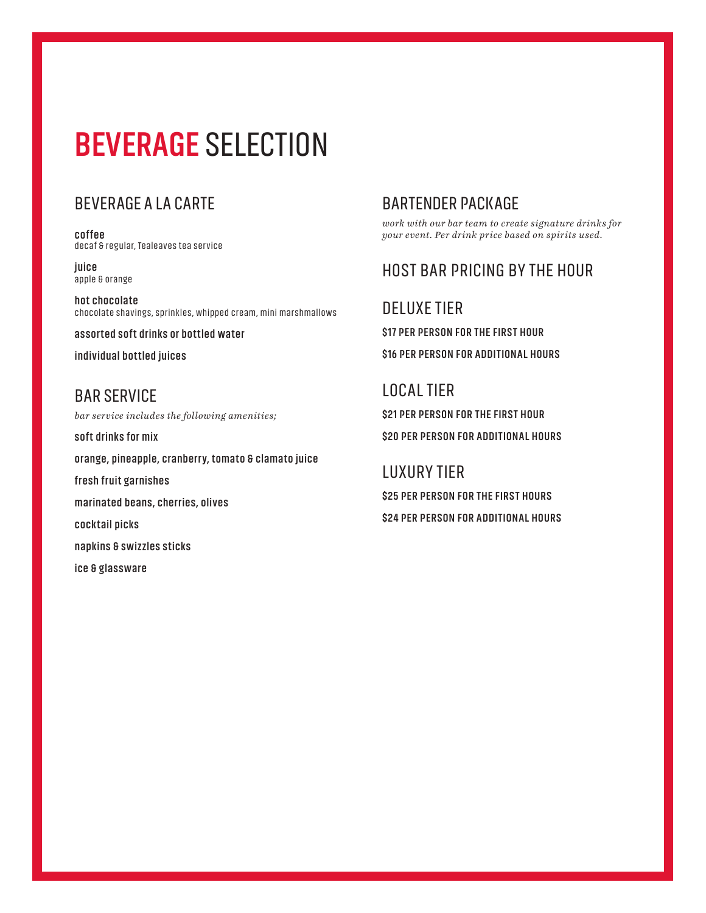## **BEVERAGE** SELECTION

#### BEVERAGE A LA CARTE

**coffee**  decaf & regular, Tealeaves tea service

**juice** apple & orange

Ī

**hot chocolate** chocolate shavings, sprinkles, whipped cream, mini marshmallows

**assorted soft drinks or bottled water**

**individual bottled juices**

BAR SERVICE *bar service includes the following amenities;* **soft drinks for mix orange, pineapple, cranberry, tomato & clamato juice fresh fruit garnishes marinated beans, cherries, olives cocktail picks napkins & swizzles sticks ice & glassware**

#### BARTENDER PACKAGE

*work with our bar team to create signature drinks for your event. Per drink price based on spirits used.*

#### HOST BAR PRICING BY THE HOUR

DELUXE TIER **\$17 PER PERSON FOR THE FIRST HOUR \$16 PER PERSON FOR ADDITIONAL HOURS**

LOCAL TIER **\$21 PER PERSON FOR THE FIRST HOUR \$20 PER PERSON FOR ADDITIONAL HOURS**

LUXURY TIER **\$25 PER PERSON FOR THE FIRST HOURS \$24 PER PERSON FOR ADDITIONAL HOURS**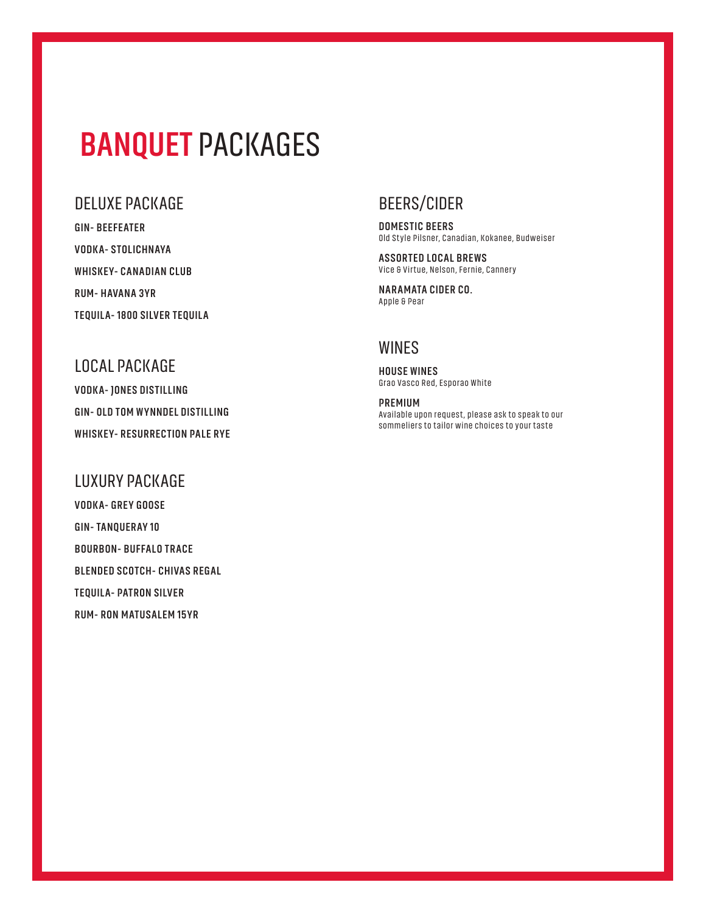## **BANQUET** PACKAGES

#### DELUXE PACKAGE

Ī

**GIN- BEEFEATER VODKA- STOLICHNAYA WHISKEY- CANADIAN CLUB RUM- HAVANA 3YR TEQUILA- 1800 SILVER TEQUILA**

#### LOCAL PACKAGE

**VODKA- JONES DISTILLING GIN- OLD TOM WYNNDEL DISTILLING WHISKEY- RESURRECTION PALE RYE**

#### LUXURY PACKAGE

**VODKA- GREY GOOSE GIN- TANQUERAY 10 BOURBON- BUFFALO TRACE BLENDED SCOTCH- CHIVAS REGAL TEQUILA- PATRON SILVER RUM- RON MATUSALEM 15YR**

#### BEERS/CIDER

**DOMESTIC BEERS** Old Style Pilsner, Canadian, Kokanee, Budweiser

**ASSORTED LOCAL BREWS** Vice & Virtue, Nelson, Fernie, Cannery

**NARAMATA CIDER CO.** Apple & Pear

#### WINES

**HOUSE WINES**  Grao Vasco Red, Esporao White

**PREMIUM** Available upon request, please ask to speak to our sommeliers to tailor wine choices to your taste